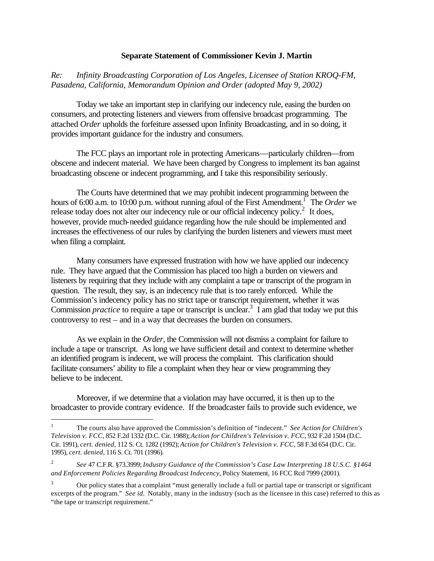## **Separate Statement of Commissioner Kevin J. Martin**

*Re: Infinity Broadcasting Corporation of Los Angeles, Licensee of Station KROQ-FM, Pasadena, California, Memorandum Opinion and Order (adopted May 9, 2002)*

Today we take an important step in clarifying our indecency rule, easing the burden on consumers, and protecting listeners and viewers from offensive broadcast programming. The attached *Order* upholds the forfeiture assessed upon Infinity Broadcasting, and in so doing, it provides important guidance for the industry and consumers.

The FCC plays an important role in protecting Americans—particularly children—from obscene and indecent material. We have been charged by Congress to implement its ban against broadcasting obscene or indecent programming, and I take this responsibility seriously.

The Courts have determined that we may prohibit indecent programming between the hours of 6:00 a.m. to 10:00 p.m. without running afoul of the First Amendment.<sup>1</sup> The *Order* we release today does not alter our indecency rule or our official indecency policy.<sup>2</sup> It does, however, provide much-needed guidance regarding how the rule should be implemented and increases the effectiveness of our rules by clarifying the burden listeners and viewers must meet when filing a complaint.

Many consumers have expressed frustration with how we have applied our indecency rule. They have argued that the Commission has placed too high a burden on viewers and listeners by requiring that they include with any complaint a tape or transcript of the program in question. The result, they say, is an indecency rule that is too rarely enforced. While the Commission's indecency policy has no strict tape or transcript requirement, whether it was Commission *practice* to require a tape or transcript is unclear.<sup>3</sup> I am glad that today we put this controversy to rest – and in a way that decreases the burden on consumers.

As we explain in the *Order*, the Commission will not dismiss a complaint for failure to include a tape or transcript. As long we have sufficient detail and context to determine whether an identified program is indecent, we will process the complaint. This clarification should facilitate consumers' ability to file a complaint when they hear or view programming they believe to be indecent.

Moreover, if we determine that a violation may have occurred, it is then up to the broadcaster to provide contrary evidence. If the broadcaster fails to provide such evidence, we

 $\overline{a}$ 

<sup>1</sup> The courts also have approved the Commission's definition of "indecent." *See Action for Children's Television v. FCC*, 852 F.2d 1332 (D.C. Cir. 1988); *Action for Children's Television v. FCC*, 932 F.2d 1504 (D.C. Cir. 1991), *cert. denied*, 112 S. Ct. 1282 (1992); *Action for Children's Television v. FCC*, 58 F.3d 654 (D.C. Cir. 1995), *cert. denied*, 116 S. Ct. 701 (1996).

<sup>2</sup> *See* 47 C.F.R. §73.3999; *Industry Guidance of the Commission's Case Law Interpreting 18 U.S.C. §1464 and Enforcement Policies Regarding Broadcast Indecency*, Policy Statement, 16 FCC Rcd 7999 (2001).

<sup>3</sup> Our policy states that a complaint "must generally include a full or partial tape or transcript or significant excerpts of the program." *See id.* Notably, many in the industry (such as the licensee in this case) referred to this as "the tape or transcript requirement."